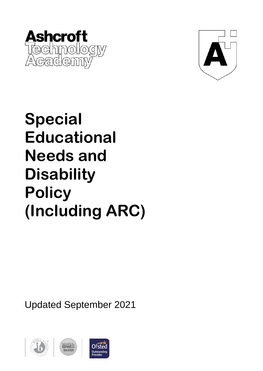



# **Special Educational Needs and Disability Policy (Including ARC)**

Updated September 2021

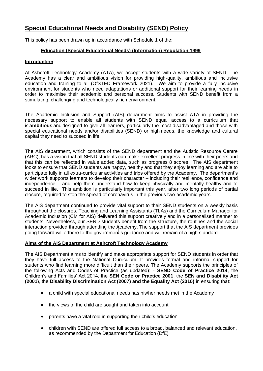# **Special Educational Needs and Disability (SEND) Policy**

This policy has been drawn up in accordance with Schedule 1 of the:

# **Education (Special Educational Needs) (Information) Regulation 1999**

# **Introduction**

At Ashcroft Technology Academy (ATA), we accept students with a wide variety of SEND. The Academy has a clear and ambitious vision for providing high-quality, ambitious and inclusive education and training to all (OfSTED Framework 2021). We aim to provide a fully inclusive environment for students who need adaptations or additional support for their learning needs in order to maximise their academic and personal success. Students with SEND benefit from a stimulating, challenging and technologically rich environment.

The Academic Inclusion and Support (AIS) department aims to assist ATA in providing the necessary support to enable all students with SEND equal access to a curriculum that is **ambitious** and designed to give all learners, particularly the most disadvantaged and those with special educational needs and/or disabilities (SEND) or high needs, the knowledge and cultural capital they need to succeed in life.

The AIS department, which consists of the SEND department and the Autistic Resource Centre (ARC), has a vision that all SEND students can make excellent progress in line with their peers and that this can be reflected in value added data, such as progress 8 scores. The AIS department looks to ensure that SEND students are happy, healthy and that they enjoy learning and are able to participate fully in all extra-curricular activities and trips offered by the Academy. The department's wider work supports learners to develop their character – including their resilience, confidence and independence – and help them understand how to keep physically and mentally healthy and to succeed in life. This ambition is particularly important this year, after two long periods of partial closure, required to stop the spread of coronavirus in the previous two academic years.

The AIS department continued to provide vital support to their SEND students on a weekly basis throughout the closures. Teaching and Learning Assistants (TLAs) and the Curriculum Manager for Academic Inclusion (CM for AIS) delivered this support creatively and in a personalised manner to students. Nevertheless, our SEND students benefit from the structure, the routines and the social interaction provided through attending the Academy. The support that the AIS department provides going forward will adhere to the government's guidance and will remain of a high standard.

# **Aims of the AIS Department at Ashcroft Technology Academy**

The AIS Department aims to identify and make appropriate support for SEND students in order that they have full access to the National Curriculum. It provides formal and informal support for students who find learning more difficult than their peers. The Academy supports the principles of the following Acts and Codes of Practice (as updated): - **SEND Code of Practice 2014**, the Children's and Families' Act 2014, the **SEN Code or Practice 2001**, the **SEN and Disability Act (2001**), the **Disability Discrimination Act (2007) and the Equality Act (2010)** in ensuring that:

- a child with special educational needs has his/her needs met in the Academy
- the views of the child are sought and taken into account
- parents have a vital role in supporting their child's education
- children with SEND are offered full access to a broad, balanced and relevant education, as recommended by the Department for Education (DfE)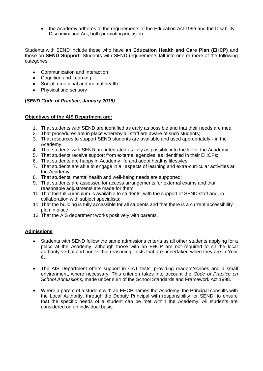• the Academy adheres to the requirements of the Education Act 1996 and the Disability Discrimination Act, both promoting inclusion.

Students with SEND include those who have **an Education Health and Care Plan (EHCP)** and those on **SEND Support**. Students with SEND requirements fall into one or more of the following categories:

- Communication and Interaction
- Cognition and Learning
- Social, emotional and mental health
- Physical and sensory

# **(***SEND Code of Practice, January 2015)*

# **Objectives of the AIS Department are:**

- 1. That students with SEND are identified as early as possible and that their needs are met;
- 2. That procedures are in place whereby all staff are aware of such students;
- 3. That resources to support SEND students are available and used appropriately in the Academy;
- 4. That students with SEND are integrated as fully as possible into the life of the Academy;
- 5. That students receive support from external agencies, as identified in their EHCPs;
- 6. That students are happy in Academy life and adopt healthy lifestyles;
- 7. That students are able to engage in all aspects of learning and extra-curricular activities at the Academy;
- 8. That students' mental health and well-being needs are supported;
- 9. That students are assessed for access arrangements for external exams and that reasonable adjustments are made for them;
- 10. That the full curriculum is available to students, with the support of SEND staff and, in collaboration with subject specialists;
- 11. That the building is fully accessible for all students and that there is a current accessibility plan in place;
- 12. That the AIS department works positively with parents.

# **Admissions**

- Students with SEND follow the same admissions criteria as all other students applying for a place at the Academy, although those with an EHCP are not required to sit the local authority verbal and non-verbal reasoning tests that are undertaken when they are in Year 6.
- The AIS Department offers support in CAT tests, providing readers/scribes and a small environment, where necessary. This criterion takes into account the *Code of Practice on School Admissions,* made under s.84 of the School Standards and Framework Act 1998.
- Where a parent of a student with an EHCP names the Academy, the Principal consults with the Local Authority, through the Deputy Principal with responsibility for SEND, to ensure that the specific needs of a student can be met within the Academy. All students are considered on an individual basis.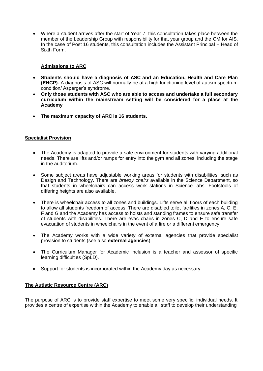• Where a student arrives after the start of Year 7, this consultation takes place between the member of the Leadership Group with responsibility for that year group and the CM for AIS. In the case of Post 16 students, this consultation includes the Assistant Principal – Head of Sixth Form.

# **Admissions to ARC**

- **Students should have a diagnosis of ASC and an Education, Health and Care Plan (EHCP).** A diagnosis of ASC will normally be at a high functioning level of autism spectrum condition/ Asperger's syndrome.
- **Only those students with ASC who are able to access and undertake a full secondary curriculum within the mainstream setting will be considered for a place at the Academy**
- **The maximum capacity of ARC is 16 students.**

# **Specialist Provision**

- The Academy is adapted to provide a safe environment for students with varying additional needs. There are lifts and/or ramps for entry into the gym and all zones, including the stage in the auditorium.
- Some subject areas have adjustable working areas for students with disabilities, such as Design and Technology. There are *breezy chairs* available in the Science Department, so that students in wheelchairs can access work stations in Science labs. Footstools of differing heights are also available.
- There is wheelchair access to all zones and buildings. Lifts serve all floors of each building to allow all students freedom of access. There are disabled toilet facilities in zones A, C, E, F and G and the Academy has access to hoists and standing frames to ensure safe transfer of students with disabilities. There are evac chairs in zones C, D and E to ensure safe evacuation of students in wheelchairs in the event of a fire or a different emergency.
- The Academy works with a wide variety of external agencies that provide specialist provision to students (see also **external agencies**).
- The Curriculum Manager for Academic Inclusion is a teacher and assessor of specific learning difficulties (SpLD).
- Support for students is incorporated within the Academy day as necessary.

# **The Autistic Resource Centre (ARC)**

The purpose of ARC is to provide staff expertise to meet some very specific, individual needs. It provides a centre of expertise within the Academy to enable all staff to develop their understanding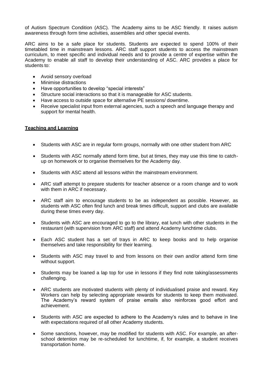of Autism Spectrum Condition (ASC). The Academy aims to be ASC friendly. It raises autism awareness through form time activities, assemblies and other special events.

ARC aims to be a safe place for students. Students are expected to spend 100% of their timetabled time in mainstream lessons. ARC staff support students to access the mainstream curriculum, to meet specific and individual needs and to provide a centre of expertise within the Academy to enable all staff to develop their understanding of ASC. ARC provides a place for students to:

- Avoid sensory overload
- Minimise distractions
- Have opportunities to develop "special interests"
- Structure social interactions so that it is manageable for ASC students.
- Have access to outside space for alternative PE sessions/ downtime.
- Receive specialist input from external agencies, such a speech and language therapy and support for mental health.

# **Teaching and Learning**

- Students with ASC are in regular form groups, normally with one other student from ARC
- Students with ASC normally attend form time, but at times, they may use this time to catchup on homework or to organise themselves for the Academy day.
- Students with ASC attend all lessons within the mainstream environment.
- ARC staff attempt to prepare students for teacher absence or a room change and to work with them in ARC if necessary.
- ARC staff aim to encourage students to be as independent as possible. However, as students with ASC often find lunch and break times difficult, support and clubs are available during these times every day.
- Students with ASC are encouraged to go to the library, eat lunch with other students in the restaurant (with supervision from ARC staff) and attend Academy lunchtime clubs.
- Each ASC student has a set of trays in ARC to keep books and to help organise themselves and take responsibility for their learning.
- Students with ASC may travel to and from lessons on their own and/or attend form time without support.
- Students may be loaned a lap top for use in lessons if they find note taking/assessments challenging.
- ARC students are motivated students with plenty of individualised praise and reward. Key Workers can help by selecting appropriate rewards for students to keep them motivated. The Academy's reward system of praise emails also reinforces good effort and achievement.
- Students with ASC are expected to adhere to the Academy's rules and to behave in line with expectations required of all other Academy students.
- Some sanctions, however, may be modified for students with ASC. For example, an afterschool detention may be re-scheduled for lunchtime, if, for example, a student receives transportation home.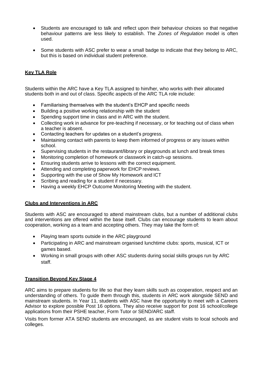- Students are encouraged to talk and reflect upon their behaviour choices so that negative behaviour patterns are less likely to establish. The *Zones of Regulation* model is often used.
- Some students with ASC prefer to wear a small badge to indicate that they belong to ARC, but this is based on individual student preference.

# **Key TLA Role**

Students within the ARC have a Key TLA assigned to him/her, who works with their allocated students both in and out of class. Specific aspects of the ARC TLA role include:

- Familiarising themselves with the student's EHCP and specific needs
- Building a positive working relationship with the student
- Spending support time in class and in ARC with the student.
- Collecting work in advance for pre-teaching if necessary, or for teaching out of class when a teacher is absent.
- Contacting teachers for updates on a student's progress.
- Maintaining contact with parents to keep them informed of progress or any issues within school.
- Supervising students in the restaurant/library or playgrounds at lunch and break times
- Monitoring completion of homework or classwork in catch-up sessions.
- Ensuring students arrive to lessons with the correct equipment.
- Attending and completing paperwork for EHCP reviews.
- Supporting with the use of Show My Homework and ICT
- Scribing and reading for a student if necessary.
- Having a weekly EHCP Outcome Monitoring Meeting with the student.

# **Clubs and Interventions in ARC**

Students with ASC are encouraged to attend mainstream clubs, but a number of additional clubs and interventions are offered within the base itself. Clubs can encourage students to learn about cooperation, working as a team and accepting others. They may take the form of:

- Playing team sports outside in the ARC playground
- Participating in ARC and mainstream organised lunchtime clubs: sports, musical, ICT or games based.
- Working in small groups with other ASC students during social skills groups run by ARC staff.

# **Transition Beyond Key Stage 4**

ARC aims to prepare students for life so that they learn skills such as cooperation, respect and an understanding of others. To guide them through this, students in ARC work alongside SEND and mainstream students. In Year 11, students with ASC have the opportunity to meet with a Careers Advisor to explore possible Post 16 options. They also receive support for post 16 school/college applications from their PSHE teacher, Form Tutor or SEND/ARC staff.

Visits from former ATA SEND students are encouraged, as are student visits to local schools and colleges.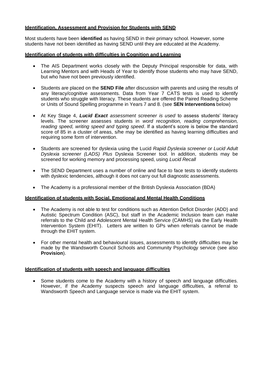# **Identification, Assessment and Provision for Students with SEND**

Most students have been **identified** as having SEND in their primary school. However, some students have not been identified as having SEND until they are educated at the Academy.

# **Identification of students with difficulties in Cognition and Learning**

- The AIS Department works closely with the Deputy Principal responsible for data, with Learning Mentors and with Heads of Year to identify those students who may have SEND, but who have not been previously identified.
- Students are placed on the **SEND File** after discussion with parents and using the results of any literacy/cognitive assessments. Data from Year 7 CATS tests is used to identify students who struggle with literacy. These students are offered the Paired Reading Scheme or Units of Sound Spelling programme in Years 7 and 8. (see **SEN Interventions** below)
- At Key Stage 4, *Lucid Exact assessment screener is used* to assess students' literacy levels. The screener assesses students in *word recognition, reading comprehension, reading speed, writing speed and typing speed*. If a student's score is below the standard score of 85 in a cluster of areas, s/he may be identified as having learning difficulties and requiring some form of intervention.
- Students are screened for dyslexia using the Lucid *Rapid Dyslexia screener or Lucid Adult Dyslexia screener (LADS) Plus* Dyslexia Screener tool. In addition, students may be screened for working memory and processing speed, using *Lucid Recall*
- The SEND Department uses a number of online and face to face tests to identify students with dyslexic tendencies, although it does not carry out full diagnostic assessments.
- The Academy is a professional member of the British Dyslexia Association (BDA)

# **Identification of students with Social, Emotional and Mental Health Conditions**

- The Academy is not able to test for conditions such as Attention Deficit Disorder (ADD) and Autistic Spectrum Condition (ASC), but staff in the Academic Inclusion team can make referrals to the Child and Adolescent Mental Health Service (CAMHS) via the Early Health Intervention System (EHIT). Letters are written to GPs when referrals cannot be made through the EHIT system.
- For other mental health and behavioural issues, assessments to identify difficulties may be made by the Wandsworth Council Schools and Community Psychology service (see also **Provision**).

#### **Identification of students with speech and language difficulties**

• Some students come to the Academy with a history of speech and language difficulties. However, if the Academy suspects speech and language difficulties, a referral to Wandsworth Speech and Language service is made via the EHIT system.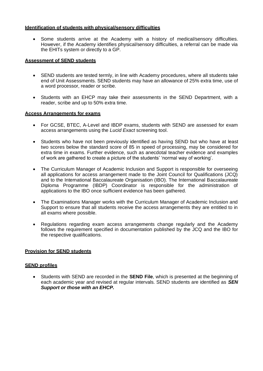# **Identification of students with physical/sensory difficulties**

• Some students arrive at the Academy with a history of medical/sensory difficulties. However, if the Academy identifies physical/sensory difficulties, a referral can be made via the EHITs system or directly to a GP.

# **Assessment of SEND students**

- SEND students are tested termly, in line with Academy procedures, where all students take end of Unit Assessments. SEND students may have an allowance of 25% extra time, use of a word processor, reader or scribe.
- Students with an EHCP may take their assessments in the SEND Department, with a reader, scribe and up to 50% extra time.

# **Access Arrangements for exams**

- For GCSE, BTEC, A-Level and IBDP exams, students with SEND are assessed for exam access arrangements using the *Lucid Exact* screening tool.
- Students who have not been previously identified as having SEND but who have at least two scores below the standard score of 85 in speed of processing, may be considered for extra time in exams. Further evidence, such as anecdotal teacher evidence and examples of work are gathered to create a picture of the students' 'normal way of working'.
- The Curriculum Manager of Academic Inclusion and Support is responsible for overseeing all applications for access arrangement made to the Joint Council for Qualifications (JCQ) and to the International Baccalaureate Organisation (IBO). The International Baccalaureate Diploma Programme (IBDP) Coordinator is responsible for the administration of applications to the IBO once sufficient evidence has been gathered.
- The Examinations Manager works with the Curriculum Manager of Academic Inclusion and Support to ensure that all students receive the access arrangements they are entitled to in all exams where possible.
- Regulations regarding exam access arrangements change regularly and the Academy follows the requirement specified in documentation published by the JCQ and the IBO for the respective qualifications.

# **Provision for SEND students**

#### **SEND profiles**

• Students with SEND are recorded in the **SEND File**, which is presented at the beginning of each academic year and revised at regular intervals. SEND students are identified as *SEN Support or those with an EHCP.*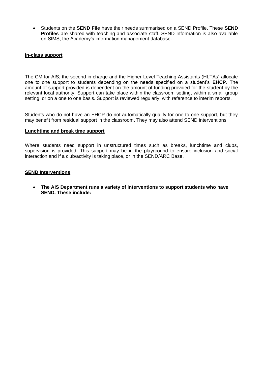• Students on the **SEND File** have their needs summarised on a SEND Profile. These **SEND Profiles** are shared with teaching and associate staff. SEND Information is also available on SIMS, the Academy's information management database.

# **In-class support**

The CM for AIS; the second in charge and the Higher Level Teaching Assistants (HLTAs) allocate one to one support to students depending on the needs specified on a student's **EHCP**. The amount of support provided is dependent on the amount of funding provided for the student by the relevant local authority. Support can take place within the classroom setting, within a small group setting, or on a one to one basis. Support is reviewed regularly, with reference to interim reports.

Students who do not have an EHCP do not automatically qualify for one to one support, but they may benefit from residual support in the classroom. They may also attend SEND interventions.

#### **Lunchtime and break time support**

Where students need support in unstructured times such as breaks, lunchtime and clubs, supervision is provided. This support may be in the playground to ensure inclusion and social interaction and if a club/activity is taking place, or in the SEND/ARC Base.

#### **SEND Interventions**

• **The AIS Department runs a variety of interventions to support students who have SEND. These include:**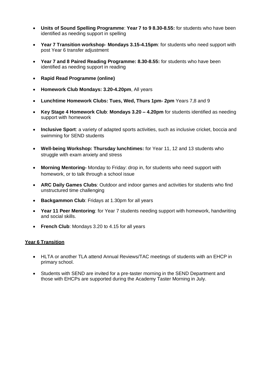- **Units of Sound Spelling Programme**: **Year 7 to 9 8.30-8.55:** for students who have been identified as needing support in spelling
- **Year 7 Transition workshop Mondays 3.15-4.15pm**: for students who need support with post Year 6 transfer adjustment
- **Year 7 and 8 Paired Reading Programme: 8.30-8.55:** for students who have been identified as needing support in reading
- **Rapid Read Programme (online)**
- **Homework Club Mondays: 3.20-4.20pm**, All years
- **Lunchtime Homework Clubs: Tues, Wed, Thurs 1pm- 2pm** Years 7,8 and 9
- **Key Stage 4 Homework Club**: **Mondays 3.20 – 4.20pm** for students identified as needing support with homework
- **Inclusive Sport**: a variety of adapted sports activities, such as inclusive cricket, boccia and swimming for SEND students
- **Well-being Workshop: Thursday lunchtimes:** for Year 11, 12 and 13 students who struggle with exam anxiety and stress
- **Morning Mentoring-** Monday to Friday: drop in, for students who need support with homework, or to talk through a school issue
- **ARC Daily Games Clubs**: Outdoor and indoor games and activities for students who find unstructured time challenging
- **Backgammon Club**: Fridays at 1.30pm for all years
- **Year 11 Peer Mentoring**: for Year 7 students needing support with homework, handwriting and social skills.
- **French Club**: Mondays 3.20 to 4.15 for all years

# **Year 6 Transition**

- HLTA or another TLA attend Annual Reviews/TAC meetings of students with an EHCP in primary school.
- Students with SEND are invited for a pre-taster morning in the SEND Department and those with EHCPs are supported during the Academy Taster Morning in July.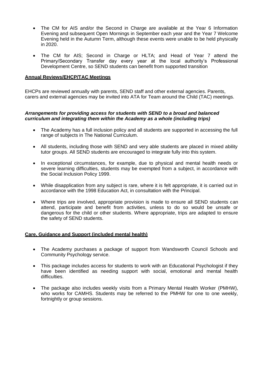- The CM for AIS and/or the Second in Charge are available at the Year 6 Information Evening and subsequent Open Mornings in September each year and the Year 7 Welcome Evening held in the Autumn Term, although these events were unable to be held physically in 2020.
- The CM for AIS; Second in Charge or HLTA; and Head of Year 7 attend the Primary/Secondary Transfer day every year at the local authority's Professional Development Centre, so SEND students can benefit from supported transition

# **Annual Reviews/EHCP/TAC Meetings**

EHCPs are reviewed annually with parents, SEND staff and other external agencies. Parents, carers and external agencies may be invited into ATA for Team around the Child (TAC) meetings.

# *Arrangements for providing access for students with SEND to a broad and balanced curriculum and integrating them within the Academy as a whole (including trips)*

- The Academy has a full inclusion policy and all students are supported in accessing the full range of subjects in The National Curriculum.
- All students, including those with SEND and very able students are placed in mixed ability tutor groups. All SEND students are encouraged to integrate fully into this system.
- In exceptional circumstances, for example, due to physical and mental health needs or severe learning difficulties, students may be exempted from a subject, in accordance with the Social Inclusion Policy 1999.
- While disapplication from any subject is rare, where it is felt appropriate, it is carried out in accordance with the 1998 Education Act, in consultation with the Principal.
- Where trips are involved, appropriate provision is made to ensure all SEND students can attend, participate and benefit from activities, unless to do so would be unsafe or dangerous for the child or other students. Where appropriate, trips are adapted to ensure the safety of SEND students.

#### **Care, Guidance and Support (included mental health)**

- The Academy purchases a package of support from Wandsworth Council Schools and Community Psychology service.
- This package includes access for students to work with an Educational Psychologist if they have been identified as needing support with social, emotional and mental health difficulties.
- The package also includes weekly visits from a Primary Mental Health Worker (PMHW), who works for CAMHS. Students may be referred to the PMHW for one to one weekly, fortnightly or group sessions.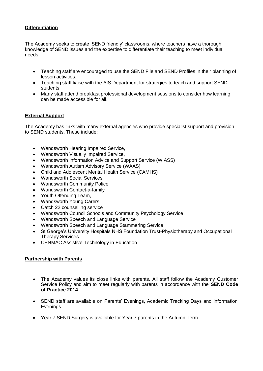# **Differentiation**

The Academy seeks to create 'SEND friendly' classrooms, where teachers have a thorough knowledge of SEND issues and the expertise to differentiate their teaching to meet individual needs.

- Teaching staff are encouraged to use the SEND File and SEND Profiles in their planning of lesson activities.
- Teaching staff liaise with the AIS Department for strategies to teach and support SEND students.
- Many staff attend breakfast professional development sessions to consider how learning can be made accessible for all.

# **External Support**

The Academy has links with many external agencies who provide specialist support and provision to SEND students. These include:

- Wandsworth Hearing Impaired Service,
- Wandsworth Visually Impaired Service,
- Wandsworth Information Advice and Support Service (WIASS)
- Wandsworth Autism Advisory Service (WAAS)
- Child and Adolescent Mental Health Service (CAMHS)
- Wandsworth Social Services
- Wandsworth Community Police
- Wandsworth Contact-a-family
- Youth Offending Team,
- Wandsworth Young Carers
- Catch 22 counselling service
- Wandsworth Council Schools and Community Psychology Service
- Wandsworth Speech and Language Service
- Wandsworth Speech and Language Stammering Service
- St George's University Hospitals NHS Foundation Trust-Physiotherapy and Occupational Therapy Services
- CENMAC Assistive Technology in Education

# **Partnership with Parents**

- The Academy values its close links with parents. All staff follow the Academy Customer Service Policy and aim to meet regularly with parents in accordance with the **SEND Code of Practice 2014**.
- SEND staff are available on Parents' Evenings, Academic Tracking Days and Information Evenings.
- Year 7 SEND Surgery is available for Year 7 parents in the Autumn Term.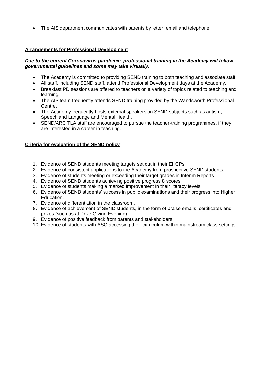• The AIS department communicates with parents by letter, email and telephone.

# **Arrangements for Professional Development**

# *Due to the current Coronavirus pandemic, professional training in the Academy will follow governmental guidelines and some may take virtually.*

- The Academy is committed to providing SEND training to both teaching and associate staff.
- All staff, including SEND staff, attend Professional Development days at the Academy.
- Breakfast PD sessions are offered to teachers on a variety of topics related to teaching and learning.
- The AIS team frequently attends SEND training provided by the Wandsworth Professional Centre.
- The Academy frequently hosts external speakers on SEND subjects such as autism, Speech and Language and Mental Health.
- SEND/ARC TLA staff are encouraged to pursue the teacher-training programmes, if they are interested in a career in teaching.

# **Criteria for evaluation of the SEND policy**

- 1. Evidence of SEND students meeting targets set out in their EHCPs.
- 2. Evidence of consistent applications to the Academy from prospective SEND students.
- 3. Evidence of students meeting or exceeding their target grades in Interim Reports
- 4. Evidence of SEND students achieving positive progress 8 scores.
- 5. Evidence of students making a marked improvement in their literacy levels.
- 6. Evidence of SEND students' success in public examinations and their progress into Higher Education.
- 7. Evidence of differentiation in the classroom.
- 8. Evidence of achievement of SEND students, in the form of praise emails, certificates and prizes (such as at Prize Giving Evening).
- 9. Evidence of positive feedback from parents and stakeholders.
- 10. Evidence of students with ASC accessing their curriculum within mainstream class settings.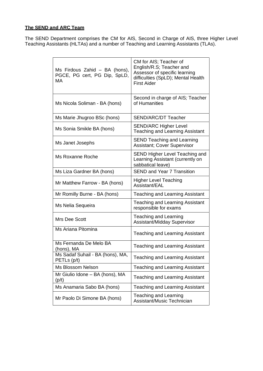# **The SEND and ARC Team**

The SEND Department comprises the CM for AIS, Second in Charge of AIS, three Higher Level Teaching Assistants (HLTAs) and a number of Teaching and Learning Assistants (TLAs).

| Ms Firdous Zahid - BA (hons),<br>PGCE, PG cert, PG Dip, SpLD,<br>МA | CM for AIS; Teacher of<br>English/R.S; Teacher and<br>Assessor of specific learning<br>difficulties (SpLD); Mental Health<br><b>First Aider</b> |
|---------------------------------------------------------------------|-------------------------------------------------------------------------------------------------------------------------------------------------|
| Ms Nicola Soliman - BA (hons)                                       | Second in charge of AIS; Teacher<br>of Humanities                                                                                               |
| Ms Marie Jhugroo BSc (hons)                                         | <b>SEND/ARC/DT Teacher</b>                                                                                                                      |
| Ms Sonia Smikle BA (hons)                                           | <b>SEND/ARC Higher Level</b><br>Teaching and Learning Assistant                                                                                 |
| Ms Janet Josephs                                                    | <b>SEND Teaching and Learning</b><br>Assistant; Cover Supervisor                                                                                |
| Ms Roxanne Roche                                                    | SEND Higher Level Teaching and<br>Learning Assistant (currently on<br>sabbatical leave)                                                         |
| Ms Liza Gardner BA (hons)                                           | <b>SEND and Year 7 Transition</b>                                                                                                               |
| Mr Matthew Farrow - BA (hons)                                       | <b>Higher Level Teaching</b><br>Assistant/EAL                                                                                                   |
| Mr Romilly Burne - BA (hons)                                        | <b>Teaching and Learning Assistant</b>                                                                                                          |
| Ms Nelia Sequeira                                                   | Teaching and Learning Assistant<br>responsible for exams                                                                                        |
| Mrs Dee Scott                                                       | Teaching and Learning<br>Assistant/Midday Supervisor                                                                                            |
| Ms Ariana Pitomina                                                  | <b>Teaching and Learning Assistant</b>                                                                                                          |
| Ms Fernanda De Melo BA<br>(hons), MA                                | <b>Teaching and Learning Assistant</b>                                                                                                          |
| Ms Sadaf Suhail - BA (hons), MA,<br>PETLs (p/t)                     | <b>Teaching and Learning Assistant</b>                                                                                                          |
| <b>Ms Blossom Nelson</b>                                            | Teaching and Learning Assistant                                                                                                                 |
| Mr Giulio Idone - BA (hons), MA<br>(p/t)                            | <b>Teaching and Learning Assistant</b>                                                                                                          |
| Ms Anamaria Sabo BA (hons)                                          | <b>Teaching and Learning Assistant</b>                                                                                                          |
| Mr Paolo Di Simone BA (hons)                                        | Teaching and Learning<br>Assistant/Music Technician                                                                                             |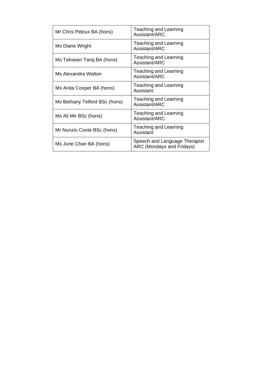| Mr Chris Pidoux BA (hons)     | Teaching and Learning<br>Assistant/ARC                     |
|-------------------------------|------------------------------------------------------------|
| Ms Diane Wright               | Teaching and Learning<br>Assistant/ARC                     |
| Ms Tahseen Tariq BA (hons)    | Teaching and Learning<br>Assistant/ARC                     |
| Ms Alexandra Walton           | Teaching and Learning<br>Assistant/ARC                     |
| Ms Anita Cooper BA (hons)     | <b>Teaching and Learning</b><br>Assistant                  |
| Ms Bethany Telford BSc (hons) | Teaching and Learning<br>Assistant/ARC                     |
| Ms Ali Mir BSc (hons)         | Teaching and Learning<br>Assistant/ARC                     |
| Mr Nunzio Conte BSc (hons)    | Teaching and Learning<br>Assistant                         |
| Ms June Chan BA (hons)        | Speech and Language Therapist<br>ARC (Mondays and Fridays) |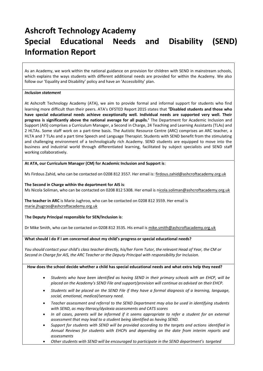# **Ashcroft Technology Academy Special Educational Needs and Disability (SEND) Information Report**

As an Academy, we work within the national guidance on provision for children with SEND in mainstream schools, which explains the ways students with different additional needs are provided for within the Academy. We also follow our 'Equality and Disability' policy and have an 'Accessibility' plan.

#### *Inclusion statement*

At Ashcroft Technology Academy (ATA), we aim to provide formal and informal support for students who find learning more difficult than their peers. ATA's OFSTED Report 2015 states that **'Disabled students and those who have special educational needs achieve exceptionally well. Individual needs are supported very well. Their progress is significantly above the national average for all pupils.'** The Department for Academic Inclusion and Support (AIS) comprises a Curriculum Manager, a Second in Charge, 24 Teaching and Learning Assistants (TLAs) and 2 HLTAs. Some staff work on a part-time basis. The Autistic Resource Centre (ARC) comprises an ARC teacher, a HLTA and 7 TLAs and a part time Speech and Language Therapist. Students with SEND benefit from the stimulating and challenging environment of a technologically rich Academy. SEND students are equipped to move into the business and industrial world through differentiated learning, facilitated by subject specialists and SEND staff working collaboratively.

**At ATA, our Curriculum Manager (CM) for Academic Inclusion and Support is**:

Ms Firdous Zahid, who can be contacted on 0208 812 3557. Her email is[: firdous.zahid@ashcroftacademy.org.uk](mailto:firdous.zahid@ashcroftacademy.org.uk)

**The Second in Charge within the department for AIS is**: Ms Nicola Soliman, who can be contacted on 0208 812 5308. Her email is [nicola.soliman@ashcroftacademy.org.uk](mailto:icola.soliman@ashcroftacademy.org.uk)

**The teacher in ARC** is Marie Jughroo, who can be contacted on 0208 812 3559. Her email is [marie.jhugroo@ashcroftacademy.org.uk](mailto:marie.jhugroo@ashcroftacademy.org.uk)

#### T**he Deputy Principal responsible for SEN/Inclusion is**:

Dr Mike Smith, who can be contacted on 0208 812 3535. His email is [mike.smith@ashcroftacademy.org.uk](mailto:mike.smith@ashcroftacademy.org.uk)

#### **What should I do if I am concerned about my child's progress or special educational needs?**

*You should contact your child's class teacher directly, his/her Form Tutor, the relevant Head of Year, the CM or Second in Charge for AIS, the ARC Teacher or the Deputy Principal with responsibility for Inclusion.*

#### **How does the school decide whether a child has special educational needs and what extra help they need?**

- *Students who have been identified as having SEND in their primary schools with an EHCP, will be placed on the Academy's SEND File and support/provision will continue as advised on their EHCP.*
- *Students will be placed on the SEND File if they have a formal diagnosis of a learning, language, social, emotional, medical/sensory need.*
- *Teacher assessment and referral to the SEND Department may also be used in identifying students with SEND, as may literacy/dyslexia assessments and CATS scores*
- *In all cases, parents will be informed if it seems appropriate to refer a student for an external assessment that may lead to a student being identified as having SEND.*
- *Support for students with SEND will be provided according to the targets and actions identified in Annual Reviews for students with EHCPs and depending on the date from interim reports and assessments*
- *Other students with SEND will be encouraged to participate in the SEND department's targeted*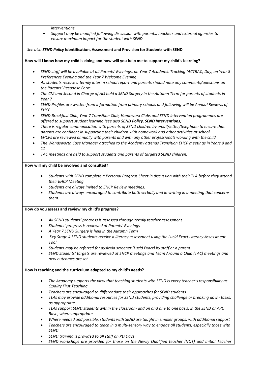*interventions.*

• *Support may be modified following discussion with parents, teachers and external agencies to ensure maximum impact for the student with SEND.*

*See also SEND Policy* **Identification, Assessment and Provision for Students with SEND**

**How will I know how my child is doing and how will you help me to support my child's learning?**

- *SEND staff will be available at all Parents' Evenings, on Year 7 Academic Tracking (ACTRAC) Day, on Year 8 Preferences Evening and the Year 7 Welcome Evening*
- *All students receive a termly interim school report and parents should note any comments/questions on the Parents' Response Form*
- *The CM and Second in Charge of AIS hold a SEND Surgery in the Autumn Term for parents of students in Year 7*
- *SEND Profiles are written from information from primary schools and following will be Annual Reviews of EHCP*
- *SEND Breakfast Club, Year 7 Transition Club, Homework Clubs and SEND Intervention programmes are offered to support student learning (see also SEND Policy, SEND Interventions)*
- *There is regular communication with parents of SEND children by email/letter/telephone to ensure that parents are confident in supporting their children with homework and other activities at school*
- *EHCPs are reviewed annually with parents and with any other professionals working with the child*
- *The Wandsworth Case Manager attached to the Academy attends Transition EHCP meetings in Years 9 and 11*
- *TAC meetings are held to support students and parents of targeted SEND children.*

#### **How will my child be involved and consulted?**

- *Students with SEND complete a Personal Progress Sheet in discussion with their TLA before they attend their EHCP Meeting.*
- *Students are always invited to EHCP Review meetings.*
- *Students are always encouraged to contribute both verbally and in writing in a meeting that concerns them.*

#### **How do you assess and review my child's progress?**

- *All SEND students' progress is assessed through termly teacher assessment*
- *Students' progress is reviewed at Parents' Evenings*
- *A Year 7 SEND Surgery is held in the Autumn Term*
- *Key Stage 4 SEND students receive a literacy assessment using the Lucid Exact Literacy Assessment Tool*
- *Students may be referred for dyslexia screener (Lucid Exact) by staff or a parent*
- *SEND students' targets are reviewed at EHCP meetings and Team Around a Child (TAC) meetings and new outcomes are set.*

#### **How is teaching and the curriculum adapted to my child's needs?**

- *The Academy supports the view that teaching students with SEND is every teacher's responsibility as Quality First Teaching*
- *Teachers are encouraged to differentiate their approaches for SEND students*
- *TLAs may provide additional resources for SEND students, providing challenge or breaking down tasks, as appropriate*
- *TLAs support SEND students within the classroom and on and one to one basis, in the SEND or ARC Base, where appropriate*
- *Where needed and possible, students with SEND are taught in smaller groups, with additional support*
- *Teachers are encouraged to teach in a multi-sensory way to engage all students, especially those with SEND*
- *SEND training is provided to all staff on PD Days*
- *SEND workshops are provided for those on the Newly Qualified teacher (NQT) and Initial Teacher*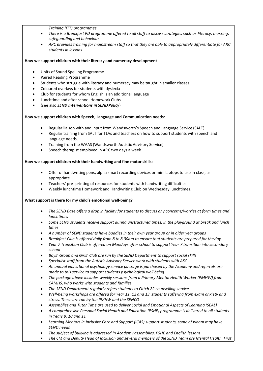*Training (ITT) programmes*

- *There is a Breakfast PD programme offered to all staff to discuss strategies such as literacy, marking, safeguarding and behaviour*
- *ARC provides training for mainstream staff so that they are able to appropriately differentiate for ARC students in lessons*

**How we support children with their literacy and numeracy development**:

- Units of Sound Spelling Programme
- Paired Reading Programme
- Students who struggle with literacy and numeracy may be taught in smaller classes
- Coloured overlays for students with dyslexia
- Club for students for whom English is an additional language
- Lunchtime and after school Homework Clubs
- (see also *SEND Interventions in SENDPolicy*)

**How we support children with Speech, Language and Communication needs**:

- Regular liaison with and input from Wandsworth's Speech and Language Service (SALT)
- Regular training from SALT for TLAs and teachers on how to support students with speech and language needs,
- Training from the WAAS (Wandsworth Autistic Advisory Service)
- Speech therapist employed in ARC two days a week

#### **How we support children with their handwriting and fine motor skills**:

- Offer of handwriting pens, alpha smart recording devices or mini laptops to use in class, as appropriate
- Teachers' pre- printing of resources for students with handwriting difficulties
- Weekly lunchtime Homework and Handwriting Club on Wednesday lunchtimes.

#### **What support is there for my child's emotional well-being**?

- *The SEND Base offers a drop in facility for students to discuss any concerns/worries at form times and lunchtimes*
- *Some SEND students receive support during unstructured times, in the playground at break and lunch times*
- *A number of SEND students have buddies in their own year group or in older yeargroups*
- *Breakfast Club is offered daily from 8 to 8.30am to ensure that students are prepared for the day*
- *Year 7 Transition Club is offered on Mondays after school to support Year 7 transition into secondary school*
- *Boys' Group and Girls' Club are run by the SEND Department to support social skills*
- *Specialist staff from the Autistic Advisory Service work with students with ASC*
- *An annual educational psychology service package is purchased by the Academy and referrals are made to this service to support students psychological well being*
- *The package above includes weekly sessions from a Primary Mental Health Worker (PMHW) from CAMHS, who works with students and families*
- *The SEND Department regularly refers students to Catch 22 counselling service*
- *Well-being workshops are offered for Year 11, 12 and 13 students suffering from exam anxiety and stress. These are run by the PMHW and the SENCO*
- *Assemblies and Tutor Time are used to deliver Social and Emotional Aspects of Learning (SEAL)*
- *A comprehensive Personal Social Health and Education (PSHE) programme is delivered to all students in Years 9, 10 and 11*
- *Learning Mentors in Inclusive Care and Support (ICAS) support students, some of whom may have SEND needs*
- *The subject of bullying is addressed in Academy assemblies, PSHE and English lessons*
- *The CM and Deputy Head of Inclusion and several members of the SEND Team are Mental Health First*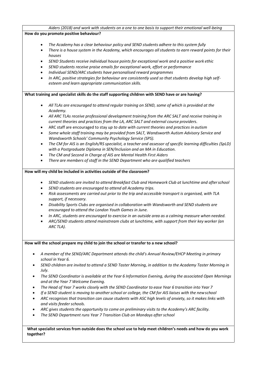|                                          | Aiders (2018) and work with students on a one to one basis to support their emotional well-being                                                                                                                                                                                                                                                                                                                                                                                                                                                                                                                                                                           |
|------------------------------------------|----------------------------------------------------------------------------------------------------------------------------------------------------------------------------------------------------------------------------------------------------------------------------------------------------------------------------------------------------------------------------------------------------------------------------------------------------------------------------------------------------------------------------------------------------------------------------------------------------------------------------------------------------------------------------|
|                                          | How do you promote positive behaviour?                                                                                                                                                                                                                                                                                                                                                                                                                                                                                                                                                                                                                                     |
| $\bullet$<br>$\bullet$<br>٠<br>$\bullet$ | The Academy has a clear behaviour policy and SEND students adhere to this system fully<br>There is a house system in the Academy, which encourages all students to earn reward points for their<br>houses<br>SEND Students receive individual house points for exceptional work and a positive work ethic<br>SEND students receive praise emails for exceptional work, effort or performance<br>Individual SEND/ARC students have personalised reward programmes<br>In ARC, positive strategies for behaviour are consistently used so that students develop high self-<br>esteem and learn appropriate communication skills.                                              |
|                                          | What training and specialist skills do the staff supporting children with SEND have or are having?                                                                                                                                                                                                                                                                                                                                                                                                                                                                                                                                                                         |
| $\bullet$                                | All TLAs are encouraged to attend regular training on SEND, some of which is provided at the                                                                                                                                                                                                                                                                                                                                                                                                                                                                                                                                                                               |
|                                          | Academy.                                                                                                                                                                                                                                                                                                                                                                                                                                                                                                                                                                                                                                                                   |
| $\bullet$                                | All ARC TLAs receive professional development training from the ARC SALT and receive training in<br>current theories and practices from the LA, ARC SALT and external course providers.                                                                                                                                                                                                                                                                                                                                                                                                                                                                                    |
|                                          | ARC staff are encouraged to stay up to date with current theories and practices in autism                                                                                                                                                                                                                                                                                                                                                                                                                                                                                                                                                                                  |
| $\bullet$                                | Some whole staff training may be provided from SALT, Wandsworth Autism Advisory Service and<br>Wandsworth Schools' Community Psychology Service (SPS).                                                                                                                                                                                                                                                                                                                                                                                                                                                                                                                     |
| $\bullet$                                | The CM for AIS is an English/RS specialist, a teacher and assessor of specific learning difficulties (SpLD)<br>with a Postgraduate Diploma in SEN/Inclusion and an MA in Education.                                                                                                                                                                                                                                                                                                                                                                                                                                                                                        |
| $\bullet$                                | The CM and Second in Charge of AIS are Mental Health First Aiders                                                                                                                                                                                                                                                                                                                                                                                                                                                                                                                                                                                                          |
|                                          | There are members of staff in the SEND Department who are qualified teachers                                                                                                                                                                                                                                                                                                                                                                                                                                                                                                                                                                                               |
| $\bullet$<br>$\bullet$                   | SEND students are invited to attend Breakfast Club and Homework Club at lunchtime and after school<br>SEND students are encouraged to attend all Academy trips.<br>Risk assessments are carried out prior to the trip and accessible transport is organised, with TLA<br>support, if necessary.<br>Disability Sports Clubs are organised in collaboration with Wandsworth and SEND students are<br>encouraged to attend the London Youth Games in June.<br>In ARC, students are encouraged to exercise in an outside area as a calming measure when needed.<br>ARC/SEND students attend mainstream clubs at lunchtime, with support from their key worker (an<br>ARC TLA). |
|                                          | How will the school prepare my child to join the school or transfer to a new school?                                                                                                                                                                                                                                                                                                                                                                                                                                                                                                                                                                                       |
|                                          | A member of the SEND/ARC Department attends the child's Annual Review/EHCP Meeting in primary<br>school in Year 6.                                                                                                                                                                                                                                                                                                                                                                                                                                                                                                                                                         |
|                                          |                                                                                                                                                                                                                                                                                                                                                                                                                                                                                                                                                                                                                                                                            |
|                                          | July.                                                                                                                                                                                                                                                                                                                                                                                                                                                                                                                                                                                                                                                                      |
| $\bullet$                                | SEND children are invited to attend a SEND Taster Morning, in addition to the Academy Taster Morning in<br>The SEND Coordinator is available at the Year 6 Information Evening, during the associated Open Mornings<br>and at the Year 7 Welcome Evening.                                                                                                                                                                                                                                                                                                                                                                                                                  |
| $\bullet$<br>$\bullet$<br>$\bullet$      | The Head of Year 7 works closely with the SEND Coordinator to ease Year 6 transition into Year 7<br>If a SEND student is moving to another school or college, the CM for AIS liaises with the new school<br>ARC recognises that transition can cause students with ASC high levels of anxiety, so it makes links with<br>and visits feeder schools.                                                                                                                                                                                                                                                                                                                        |